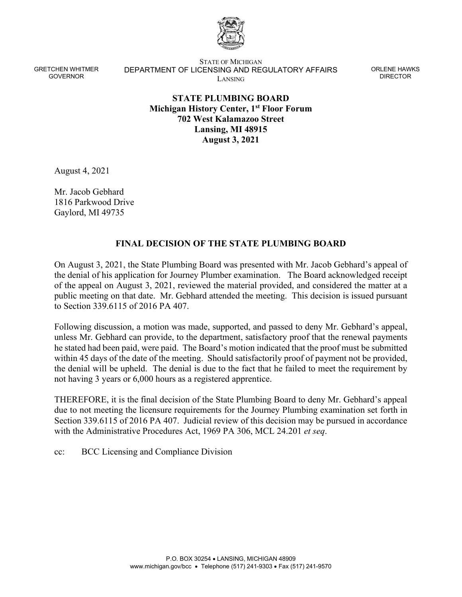

GRETCHEN WHITMER GOVERNOR

STATE OF MICHIGAN DEPARTMENT OF LICENSING AND REGULATORY AFFAIRS LANSING

ORLENE HAWKS DIRECTOR

## **STATE PLUMBING BOARD Michigan History Center, 1st Floor Forum 702 West Kalamazoo Street Lansing, MI 48915 August 3, 2021**

August 4, 2021

Mr. Jacob Gebhard 1816 Parkwood Drive Gaylord, MI 49735

## **FINAL DECISION OF THE STATE PLUMBING BOARD**

On August 3, 2021, the State Plumbing Board was presented with Mr. Jacob Gebhard's appeal of the denial of his application for Journey Plumber examination. The Board acknowledged receipt of the appeal on August 3, 2021, reviewed the material provided, and considered the matter at a public meeting on that date. Mr. Gebhard attended the meeting. This decision is issued pursuant to Section 339.6115 of 2016 PA 407.

Following discussion, a motion was made, supported, and passed to deny Mr. Gebhard's appeal, unless Mr. Gebhard can provide, to the department, satisfactory proof that the renewal payments he stated had been paid, were paid. The Board's motion indicated that the proof must be submitted within 45 days of the date of the meeting. Should satisfactorily proof of payment not be provided, the denial will be upheld. The denial is due to the fact that he failed to meet the requirement by not having 3 years or 6,000 hours as a registered apprentice.

THEREFORE, it is the final decision of the State Plumbing Board to deny Mr. Gebhard's appeal due to not meeting the licensure requirements for the Journey Plumbing examination set forth in Section 339.6115 of 2016 PA 407. Judicial review of this decision may be pursued in accordance with the Administrative Procedures Act, 1969 PA 306, MCL 24.201 *et seq*.

cc: BCC Licensing and Compliance Division